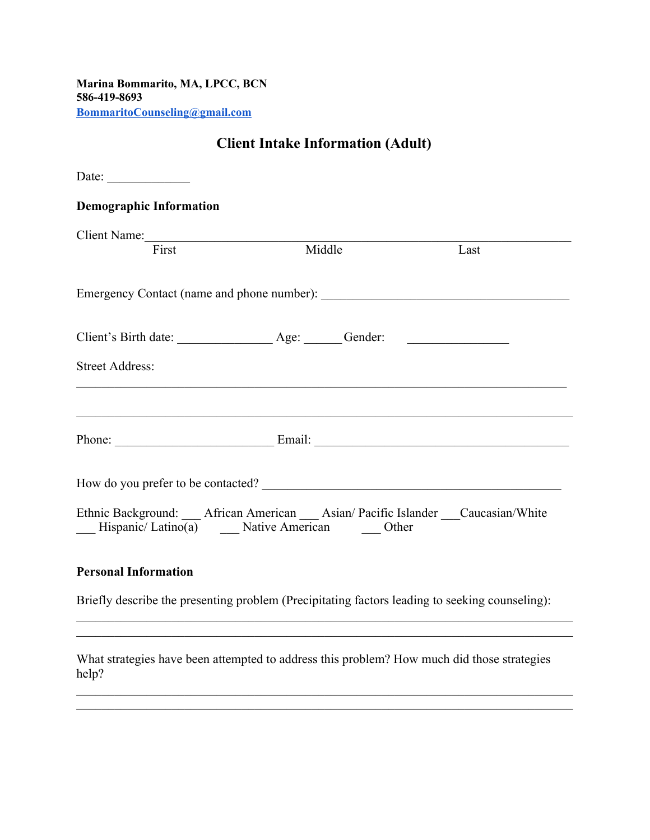**Marina Bommarito, MA, LPCC, BCN 586-419-8693 [BommaritoCounseling@gmail.com](mailto:BommaritoCounseling@gmail.com)**

| <b>Client Intake Information (Adult)</b>                                                                                                      |  |      |  |  |  |
|-----------------------------------------------------------------------------------------------------------------------------------------------|--|------|--|--|--|
| Date: $\frac{1}{\sqrt{1-\frac{1}{2}}\cdot\frac{1}{2}}$                                                                                        |  |      |  |  |  |
| <b>Demographic Information</b>                                                                                                                |  |      |  |  |  |
| Client Name:<br>First Middle                                                                                                                  |  | Last |  |  |  |
|                                                                                                                                               |  |      |  |  |  |
|                                                                                                                                               |  |      |  |  |  |
| <b>Street Address:</b>                                                                                                                        |  |      |  |  |  |
|                                                                                                                                               |  |      |  |  |  |
| How do you prefer to be contacted?                                                                                                            |  |      |  |  |  |
| Ethnic Background: __ African American __ Asian/ Pacific Islander __ Caucasian/White<br>Hispanic/Latino(a) _____ Native American ______ Other |  |      |  |  |  |

## **Personal Information**

Briefly describe the presenting problem (Precipitating factors leading to seeking counseling):

 $\mathcal{L}_\mathcal{L} = \{ \mathcal{L}_\mathcal{L} = \{ \mathcal{L}_\mathcal{L} = \{ \mathcal{L}_\mathcal{L} = \{ \mathcal{L}_\mathcal{L} = \{ \mathcal{L}_\mathcal{L} = \{ \mathcal{L}_\mathcal{L} = \{ \mathcal{L}_\mathcal{L} = \{ \mathcal{L}_\mathcal{L} = \{ \mathcal{L}_\mathcal{L} = \{ \mathcal{L}_\mathcal{L} = \{ \mathcal{L}_\mathcal{L} = \{ \mathcal{L}_\mathcal{L} = \{ \mathcal{L}_\mathcal{L} = \{ \mathcal{L}_\mathcal{$  $\mathcal{L}_\mathcal{L} = \{ \mathcal{L}_\mathcal{L} = \{ \mathcal{L}_\mathcal{L} = \{ \mathcal{L}_\mathcal{L} = \{ \mathcal{L}_\mathcal{L} = \{ \mathcal{L}_\mathcal{L} = \{ \mathcal{L}_\mathcal{L} = \{ \mathcal{L}_\mathcal{L} = \{ \mathcal{L}_\mathcal{L} = \{ \mathcal{L}_\mathcal{L} = \{ \mathcal{L}_\mathcal{L} = \{ \mathcal{L}_\mathcal{L} = \{ \mathcal{L}_\mathcal{L} = \{ \mathcal{L}_\mathcal{L} = \{ \mathcal{L}_\mathcal{$ 

 $\mathcal{L}_\mathcal{L} = \{ \mathcal{L}_\mathcal{L} = \{ \mathcal{L}_\mathcal{L} = \{ \mathcal{L}_\mathcal{L} = \{ \mathcal{L}_\mathcal{L} = \{ \mathcal{L}_\mathcal{L} = \{ \mathcal{L}_\mathcal{L} = \{ \mathcal{L}_\mathcal{L} = \{ \mathcal{L}_\mathcal{L} = \{ \mathcal{L}_\mathcal{L} = \{ \mathcal{L}_\mathcal{L} = \{ \mathcal{L}_\mathcal{L} = \{ \mathcal{L}_\mathcal{L} = \{ \mathcal{L}_\mathcal{L} = \{ \mathcal{L}_\mathcal{$ 

What strategies have been attempted to address this problem? How much did those strategies help?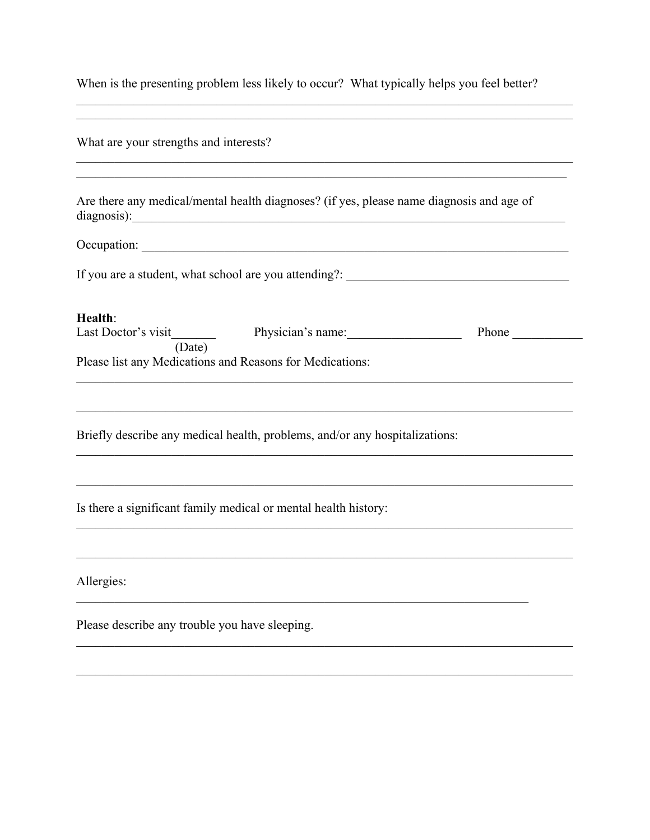When is the presenting problem less likely to occur? What typically helps you feel better?

| What are your strengths and interests?                                                                                                                                                                                            |  |       |  |  |  |  |
|-----------------------------------------------------------------------------------------------------------------------------------------------------------------------------------------------------------------------------------|--|-------|--|--|--|--|
| Are there any medical/mental health diagnoses? (if yes, please name diagnosis and age of<br>diagnosis):<br><u> 1980 - Johann Stein, marwolaethau a bhann an t-Albann an t-Albann an t-Albann an t-Albann an t-Albann an t-Alb</u> |  |       |  |  |  |  |
| Occupation: New York Contract of the Contract of the Contract of the Contract of the Contract of the Contract of the Contract of the Contract of the Contract of the Contract of the Contract of the Contract of the Contract     |  |       |  |  |  |  |
| If you are a student, what school are you attending?:                                                                                                                                                                             |  |       |  |  |  |  |
| Health:<br>(Date)<br>Please list any Medications and Reasons for Medications:                                                                                                                                                     |  | Phone |  |  |  |  |
| Briefly describe any medical health, problems, and/or any hospitalizations:                                                                                                                                                       |  |       |  |  |  |  |
| Is there a significant family medical or mental health history:                                                                                                                                                                   |  |       |  |  |  |  |
| Allergies:                                                                                                                                                                                                                        |  |       |  |  |  |  |
| Please describe any trouble you have sleeping.                                                                                                                                                                                    |  |       |  |  |  |  |
|                                                                                                                                                                                                                                   |  |       |  |  |  |  |

<u> 1989 - Johann Stoff, amerikansk politiker (d. 1989)</u>